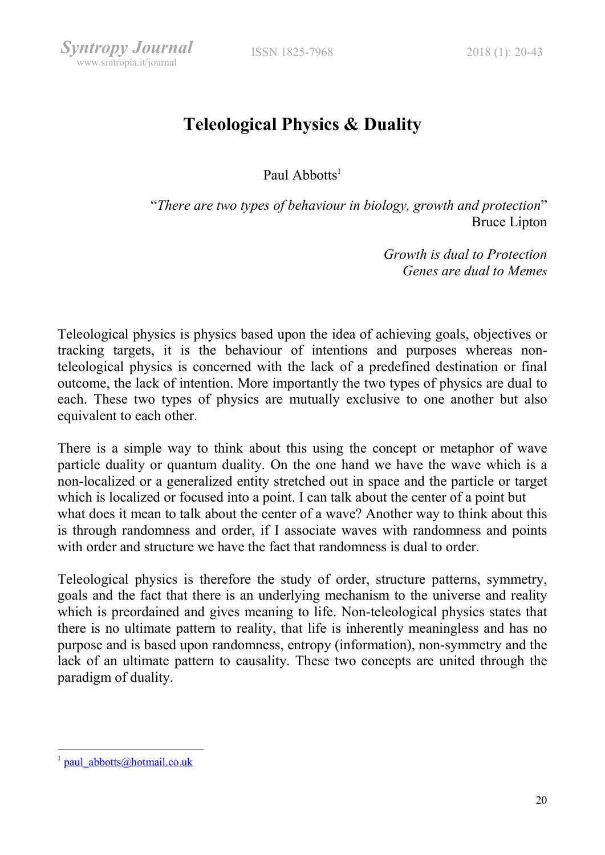# Teleological Physics & Duality

Paul Abbotts<sup>1</sup>

"There are two types of behaviour in biology, growth and protection" Bruce Lipton

> Growth is dual to Protection Genes are dual to Memes

Teleological physics is physics based upon the idea of achieving goals, objectives or tracking targets, it is the behaviour of intentions and purposes whereas nonteleological physics is concerned with the lack of a predefined destination or final outcome, the lack of intention. More importantly the two types of physics are dual to each. These two types of physics are mutually exclusive to one another but also equivalent to each other.

There is a simple way to think about this using the concept or metaphor of wave particle duality or quantum duality. On the one hand we have the wave which is a non-localized or a generalized entity stretched out in space and the particle or target which is localized or focused into a point. I can talk about the center of a point but what does it mean to talk about the center of a wave? Another way to think about this is through randomness and order, if I associate waves with randomness and points with order and structure we have the fact that randomness is dual to order.

Teleological physics is therefore the study of order, structure patterns, symmetry, goals and the fact that there is an underlying mechanism to the universe and reality which is preordained and gives meaning to life. Non-teleological physics states that there is no ultimate pattern to reality, that life is inherently meaningless and has no purpose and is based upon randomness, entropy (information), non-symmetry and the lack of an ultimate pattern to causality. These two concepts are united through the paradigm of duality.

-

paul\_abbotts@hotmail.co.uk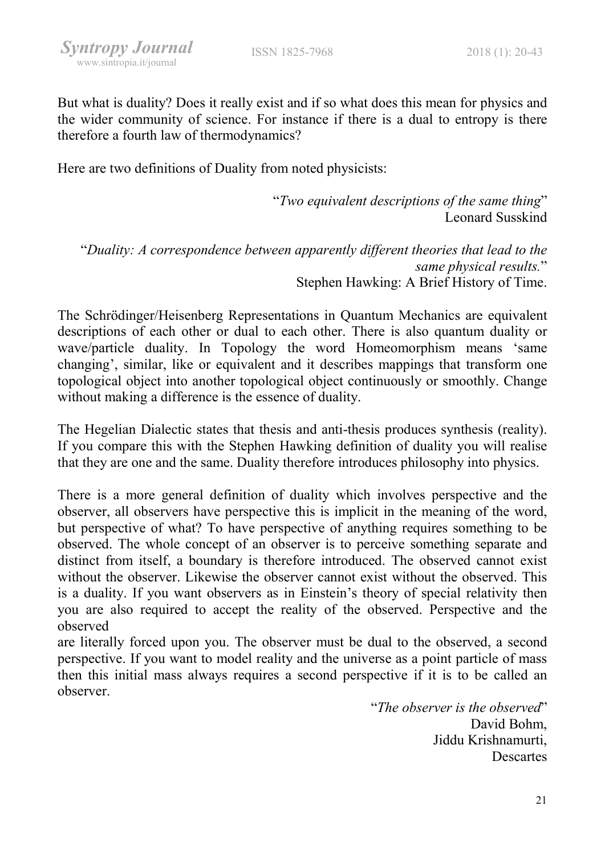But what is duality? Does it really exist and if so what does this mean for physics and the wider community of science. For instance if there is a dual to entropy is there therefore a fourth law of thermodynamics?

Here are two definitions of Duality from noted physicists:

"Two equivalent descriptions of the same thing" Leonard Susskind

"Duality: A correspondence between apparently different theories that lead to the same physical results." Stephen Hawking: A Brief History of Time.

The Schrödinger/Heisenberg Representations in Quantum Mechanics are equivalent descriptions of each other or dual to each other. There is also quantum duality or wave/particle duality. In Topology the word Homeomorphism means 'same changing', similar, like or equivalent and it describes mappings that transform one topological object into another topological object continuously or smoothly. Change without making a difference is the essence of duality.

The Hegelian Dialectic states that thesis and anti-thesis produces synthesis (reality). If you compare this with the Stephen Hawking definition of duality you will realise that they are one and the same. Duality therefore introduces philosophy into physics.

There is a more general definition of duality which involves perspective and the observer, all observers have perspective this is implicit in the meaning of the word, but perspective of what? To have perspective of anything requires something to be observed. The whole concept of an observer is to perceive something separate and distinct from itself, a boundary is therefore introduced. The observed cannot exist without the observer. Likewise the observer cannot exist without the observed. This is a duality. If you want observers as in Einstein's theory of special relativity then you are also required to accept the reality of the observed. Perspective and the observed

are literally forced upon you. The observer must be dual to the observed, a second perspective. If you want to model reality and the universe as a point particle of mass then this initial mass always requires a second perspective if it is to be called an observer.

> "The observer is the observed" David Bohm, Jiddu Krishnamurti, Descartes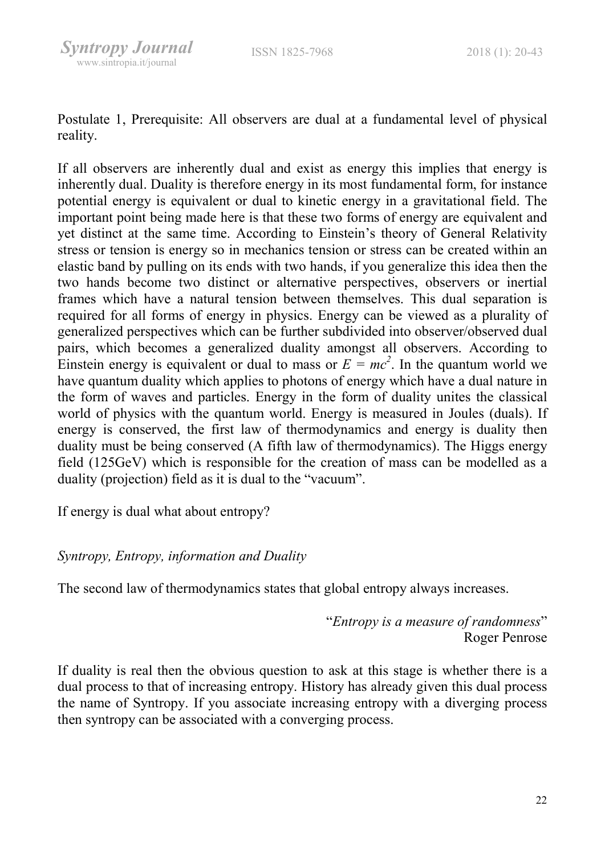Postulate 1, Prerequisite: All observers are dual at a fundamental level of physical reality.

If all observers are inherently dual and exist as energy this implies that energy is inherently dual. Duality is therefore energy in its most fundamental form, for instance potential energy is equivalent or dual to kinetic energy in a gravitational field. The important point being made here is that these two forms of energy are equivalent and yet distinct at the same time. According to Einstein's theory of General Relativity stress or tension is energy so in mechanics tension or stress can be created within an elastic band by pulling on its ends with two hands, if you generalize this idea then the two hands become two distinct or alternative perspectives, observers or inertial frames which have a natural tension between themselves. This dual separation is required for all forms of energy in physics. Energy can be viewed as a plurality of generalized perspectives which can be further subdivided into observer/observed dual pairs, which becomes a generalized duality amongst all observers. According to Einstein energy is equivalent or dual to mass or  $E = mc^2$ . In the quantum world we have quantum duality which applies to photons of energy which have a dual nature in the form of waves and particles. Energy in the form of duality unites the classical world of physics with the quantum world. Energy is measured in Joules (duals). If energy is conserved, the first law of thermodynamics and energy is duality then duality must be being conserved (A fifth law of thermodynamics). The Higgs energy field (125GeV) which is responsible for the creation of mass can be modelled as a duality (projection) field as it is dual to the "vacuum".

If energy is dual what about entropy?

# Syntropy, Entropy, information and Duality

The second law of thermodynamics states that global entropy always increases.

"Entropy is a measure of randomness" Roger Penrose

If duality is real then the obvious question to ask at this stage is whether there is a dual process to that of increasing entropy. History has already given this dual process the name of Syntropy. If you associate increasing entropy with a diverging process then syntropy can be associated with a converging process.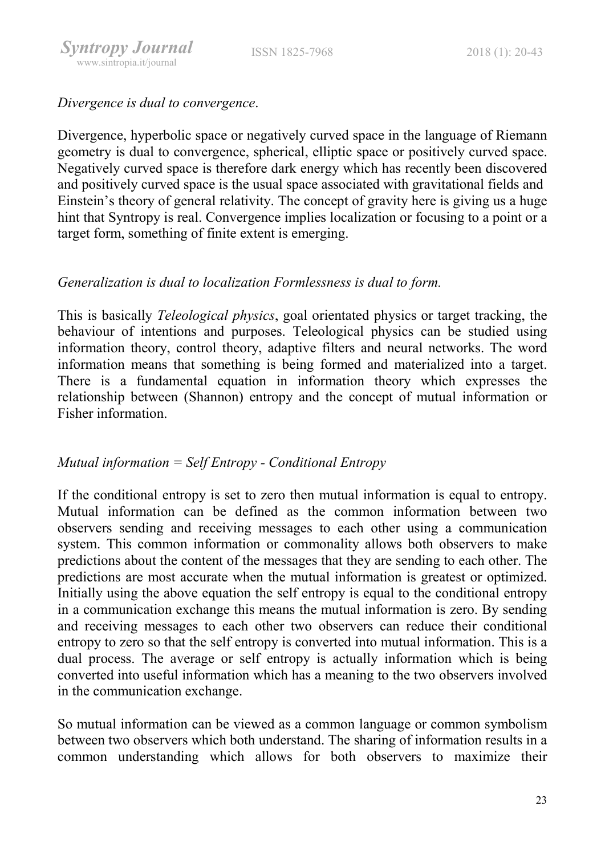

Divergence is dual to convergence.

Divergence, hyperbolic space or negatively curved space in the language of Riemann geometry is dual to convergence, spherical, elliptic space or positively curved space. Negatively curved space is therefore dark energy which has recently been discovered and positively curved space is the usual space associated with gravitational fields and Einstein's theory of general relativity. The concept of gravity here is giving us a huge hint that Syntropy is real. Convergence implies localization or focusing to a point or a target form, something of finite extent is emerging.

# Generalization is dual to localization Formlessness is dual to form.

This is basically Teleological physics, goal orientated physics or target tracking, the behaviour of intentions and purposes. Teleological physics can be studied using information theory, control theory, adaptive filters and neural networks. The word information means that something is being formed and materialized into a target. There is a fundamental equation in information theory which expresses the relationship between (Shannon) entropy and the concept of mutual information or Fisher information.

# Mutual information  $=$  Self Entropy - Conditional Entropy

If the conditional entropy is set to zero then mutual information is equal to entropy. Mutual information can be defined as the common information between two observers sending and receiving messages to each other using a communication system. This common information or commonality allows both observers to make predictions about the content of the messages that they are sending to each other. The predictions are most accurate when the mutual information is greatest or optimized. Initially using the above equation the self entropy is equal to the conditional entropy in a communication exchange this means the mutual information is zero. By sending and receiving messages to each other two observers can reduce their conditional entropy to zero so that the self entropy is converted into mutual information. This is a dual process. The average or self entropy is actually information which is being converted into useful information which has a meaning to the two observers involved in the communication exchange.

So mutual information can be viewed as a common language or common symbolism between two observers which both understand. The sharing of information results in a common understanding which allows for both observers to maximize their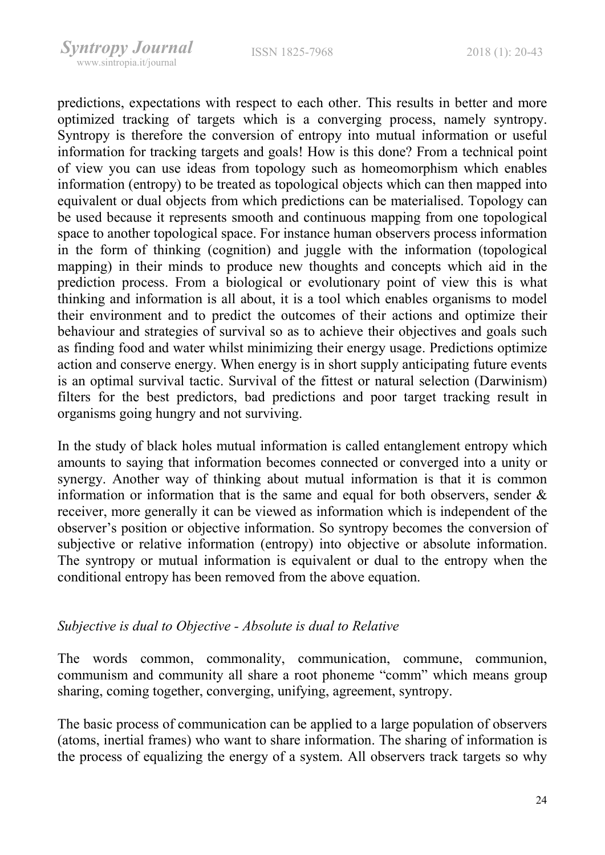predictions, expectations with respect to each other. This results in better and more optimized tracking of targets which is a converging process, namely syntropy. Syntropy is therefore the conversion of entropy into mutual information or useful information for tracking targets and goals! How is this done? From a technical point of view you can use ideas from topology such as homeomorphism which enables information (entropy) to be treated as topological objects which can then mapped into equivalent or dual objects from which predictions can be materialised. Topology can be used because it represents smooth and continuous mapping from one topological space to another topological space. For instance human observers process information in the form of thinking (cognition) and juggle with the information (topological mapping) in their minds to produce new thoughts and concepts which aid in the prediction process. From a biological or evolutionary point of view this is what thinking and information is all about, it is a tool which enables organisms to model their environment and to predict the outcomes of their actions and optimize their behaviour and strategies of survival so as to achieve their objectives and goals such as finding food and water whilst minimizing their energy usage. Predictions optimize action and conserve energy. When energy is in short supply anticipating future events is an optimal survival tactic. Survival of the fittest or natural selection (Darwinism) filters for the best predictors, bad predictions and poor target tracking result in organisms going hungry and not surviving.

In the study of black holes mutual information is called entanglement entropy which amounts to saying that information becomes connected or converged into a unity or synergy. Another way of thinking about mutual information is that it is common information or information that is the same and equal for both observers, sender & receiver, more generally it can be viewed as information which is independent of the observer's position or objective information. So syntropy becomes the conversion of subjective or relative information (entropy) into objective or absolute information. The syntropy or mutual information is equivalent or dual to the entropy when the conditional entropy has been removed from the above equation.

# Subjective is dual to Objective - Absolute is dual to Relative

The words common, commonality, communication, commune, communion, communism and community all share a root phoneme "comm" which means group sharing, coming together, converging, unifying, agreement, syntropy.

The basic process of communication can be applied to a large population of observers (atoms, inertial frames) who want to share information. The sharing of information is the process of equalizing the energy of a system. All observers track targets so why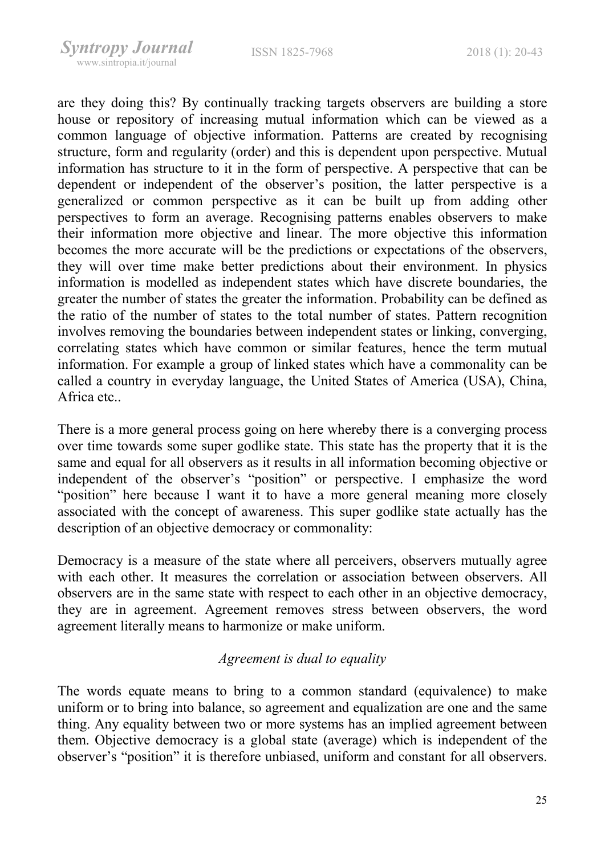are they doing this? By continually tracking targets observers are building a store house or repository of increasing mutual information which can be viewed as a common language of objective information. Patterns are created by recognising structure, form and regularity (order) and this is dependent upon perspective. Mutual information has structure to it in the form of perspective. A perspective that can be dependent or independent of the observer's position, the latter perspective is a generalized or common perspective as it can be built up from adding other perspectives to form an average. Recognising patterns enables observers to make their information more objective and linear. The more objective this information becomes the more accurate will be the predictions or expectations of the observers, they will over time make better predictions about their environment. In physics information is modelled as independent states which have discrete boundaries, the greater the number of states the greater the information. Probability can be defined as the ratio of the number of states to the total number of states. Pattern recognition involves removing the boundaries between independent states or linking, converging, correlating states which have common or similar features, hence the term mutual information. For example a group of linked states which have a commonality can be called a country in everyday language, the United States of America (USA), China, Africa etc..

There is a more general process going on here whereby there is a converging process over time towards some super godlike state. This state has the property that it is the same and equal for all observers as it results in all information becoming objective or independent of the observer's "position" or perspective. I emphasize the word "position" here because I want it to have a more general meaning more closely associated with the concept of awareness. This super godlike state actually has the description of an objective democracy or commonality:

Democracy is a measure of the state where all perceivers, observers mutually agree with each other. It measures the correlation or association between observers. All observers are in the same state with respect to each other in an objective democracy, they are in agreement. Agreement removes stress between observers, the word agreement literally means to harmonize or make uniform.

#### Agreement is dual to equality

The words equate means to bring to a common standard (equivalence) to make uniform or to bring into balance, so agreement and equalization are one and the same thing. Any equality between two or more systems has an implied agreement between them. Objective democracy is a global state (average) which is independent of the observer's "position" it is therefore unbiased, uniform and constant for all observers.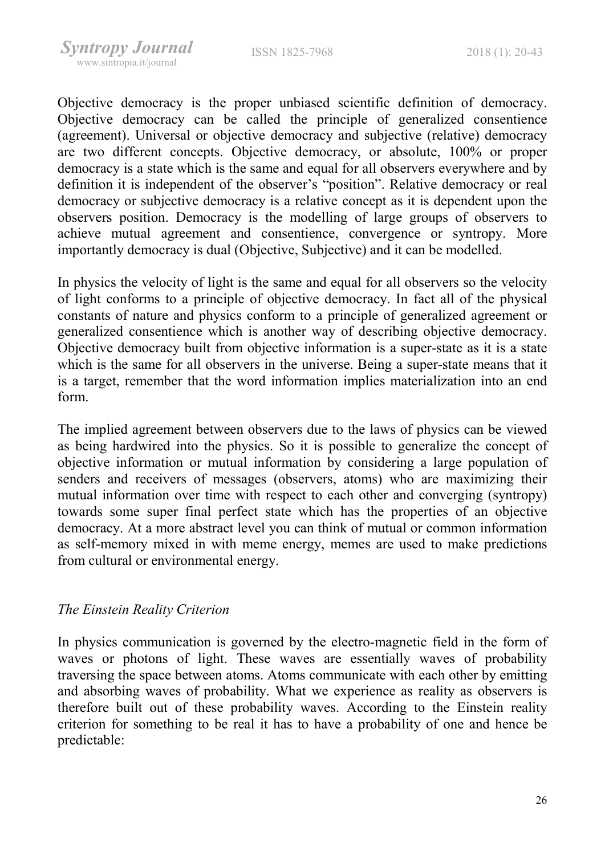Objective democracy is the proper unbiased scientific definition of democracy. Objective democracy can be called the principle of generalized consentience (agreement). Universal or objective democracy and subjective (relative) democracy are two different concepts. Objective democracy, or absolute, 100% or proper democracy is a state which is the same and equal for all observers everywhere and by definition it is independent of the observer's "position". Relative democracy or real democracy or subjective democracy is a relative concept as it is dependent upon the observers position. Democracy is the modelling of large groups of observers to achieve mutual agreement and consentience, convergence or syntropy. More importantly democracy is dual (Objective, Subjective) and it can be modelled.

In physics the velocity of light is the same and equal for all observers so the velocity of light conforms to a principle of objective democracy. In fact all of the physical constants of nature and physics conform to a principle of generalized agreement or generalized consentience which is another way of describing objective democracy. Objective democracy built from objective information is a super-state as it is a state which is the same for all observers in the universe. Being a super-state means that it is a target, remember that the word information implies materialization into an end form.

The implied agreement between observers due to the laws of physics can be viewed as being hardwired into the physics. So it is possible to generalize the concept of objective information or mutual information by considering a large population of senders and receivers of messages (observers, atoms) who are maximizing their mutual information over time with respect to each other and converging (syntropy) towards some super final perfect state which has the properties of an objective democracy. At a more abstract level you can think of mutual or common information as self-memory mixed in with meme energy, memes are used to make predictions from cultural or environmental energy.

# The Einstein Reality Criterion

In physics communication is governed by the electro-magnetic field in the form of waves or photons of light. These waves are essentially waves of probability traversing the space between atoms. Atoms communicate with each other by emitting and absorbing waves of probability. What we experience as reality as observers is therefore built out of these probability waves. According to the Einstein reality criterion for something to be real it has to have a probability of one and hence be predictable: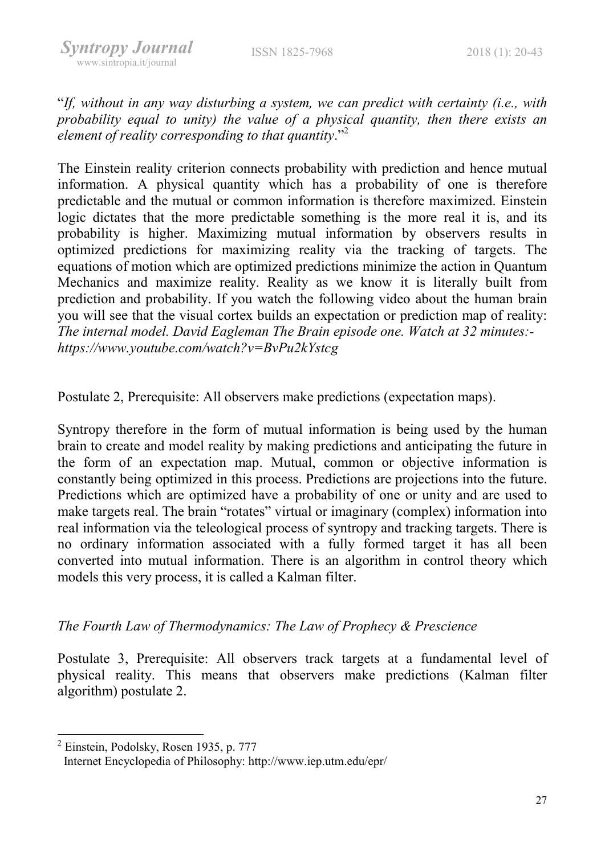"If, without in any way disturbing a system, we can predict with certainty (i.e., with probability equal to unity) the value of a physical quantity, then there exists an element of reality corresponding to that quantity. $"^{2}$ 

The Einstein reality criterion connects probability with prediction and hence mutual information. A physical quantity which has a probability of one is therefore predictable and the mutual or common information is therefore maximized. Einstein logic dictates that the more predictable something is the more real it is, and its probability is higher. Maximizing mutual information by observers results in optimized predictions for maximizing reality via the tracking of targets. The equations of motion which are optimized predictions minimize the action in Quantum Mechanics and maximize reality. Reality as we know it is literally built from prediction and probability. If you watch the following video about the human brain you will see that the visual cortex builds an expectation or prediction map of reality: The internal model. David Eagleman The Brain episode one. Watch at 32 minutes: https://www.youtube.com/watch?v=BvPu2kYstcg

Postulate 2, Prerequisite: All observers make predictions (expectation maps).

Syntropy therefore in the form of mutual information is being used by the human brain to create and model reality by making predictions and anticipating the future in the form of an expectation map. Mutual, common or objective information is constantly being optimized in this process. Predictions are projections into the future. Predictions which are optimized have a probability of one or unity and are used to make targets real. The brain "rotates" virtual or imaginary (complex) information into real information via the teleological process of syntropy and tracking targets. There is no ordinary information associated with a fully formed target it has all been converted into mutual information. There is an algorithm in control theory which models this very process, it is called a Kalman filter.

# The Fourth Law of Thermodynamics: The Law of Prophecy & Prescience

Postulate 3, Prerequisite: All observers track targets at a fundamental level of physical reality. This means that observers make predictions (Kalman filter algorithm) postulate 2.

-

<sup>&</sup>lt;sup>2</sup> Einstein, Podolsky, Rosen 1935, p. 777

Internet Encyclopedia of Philosophy: http://www.iep.utm.edu/epr/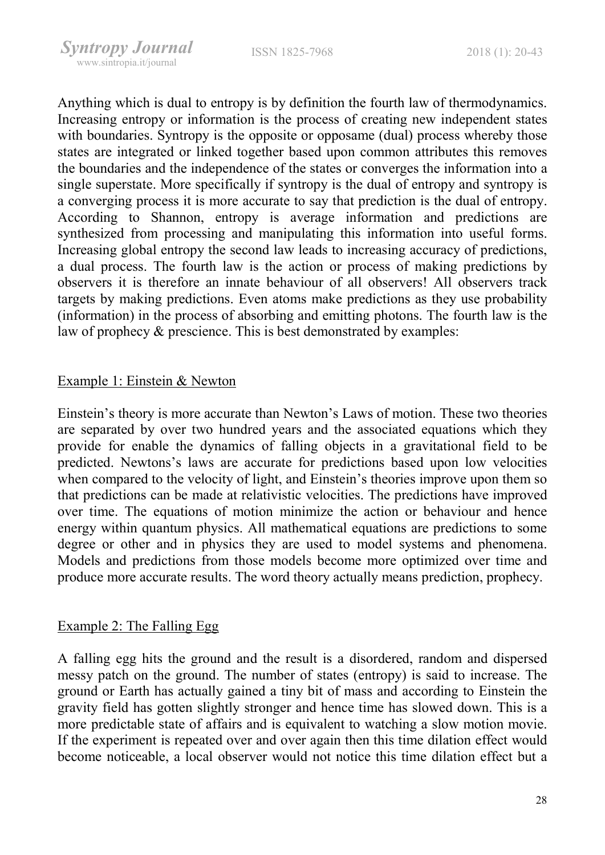Anything which is dual to entropy is by definition the fourth law of thermodynamics. Increasing entropy or information is the process of creating new independent states with boundaries. Syntropy is the opposite or opposame (dual) process whereby those states are integrated or linked together based upon common attributes this removes the boundaries and the independence of the states or converges the information into a single superstate. More specifically if syntropy is the dual of entropy and syntropy is a converging process it is more accurate to say that prediction is the dual of entropy. According to Shannon, entropy is average information and predictions are synthesized from processing and manipulating this information into useful forms. Increasing global entropy the second law leads to increasing accuracy of predictions, a dual process. The fourth law is the action or process of making predictions by observers it is therefore an innate behaviour of all observers! All observers track targets by making predictions. Even atoms make predictions as they use probability (information) in the process of absorbing and emitting photons. The fourth law is the law of prophecy & prescience. This is best demonstrated by examples:

#### Example 1: Einstein & Newton

Einstein's theory is more accurate than Newton's Laws of motion. These two theories are separated by over two hundred years and the associated equations which they provide for enable the dynamics of falling objects in a gravitational field to be predicted. Newtons's laws are accurate for predictions based upon low velocities when compared to the velocity of light, and Einstein's theories improve upon them so that predictions can be made at relativistic velocities. The predictions have improved over time. The equations of motion minimize the action or behaviour and hence energy within quantum physics. All mathematical equations are predictions to some degree or other and in physics they are used to model systems and phenomena. Models and predictions from those models become more optimized over time and produce more accurate results. The word theory actually means prediction, prophecy.

# Example 2: The Falling Egg

A falling egg hits the ground and the result is a disordered, random and dispersed messy patch on the ground. The number of states (entropy) is said to increase. The ground or Earth has actually gained a tiny bit of mass and according to Einstein the gravity field has gotten slightly stronger and hence time has slowed down. This is a more predictable state of affairs and is equivalent to watching a slow motion movie. If the experiment is repeated over and over again then this time dilation effect would become noticeable, a local observer would not notice this time dilation effect but a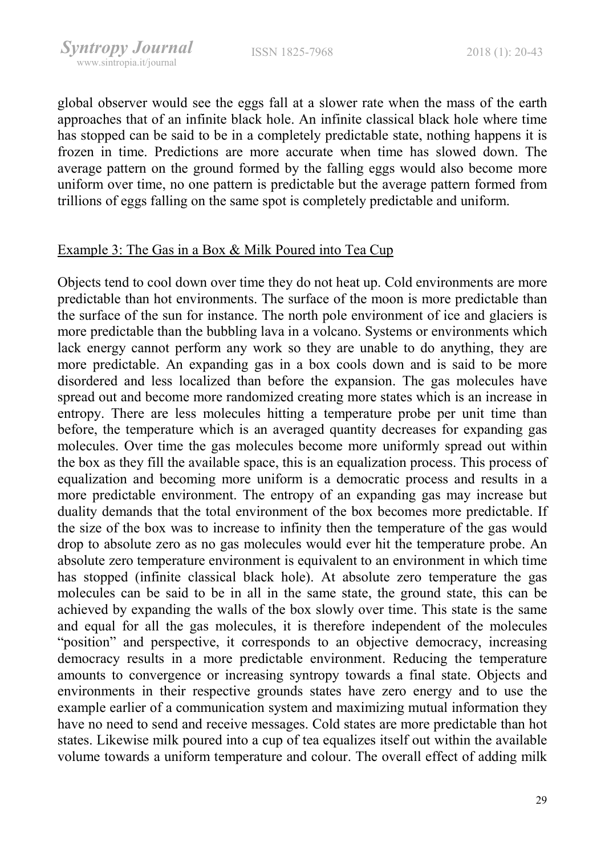global observer would see the eggs fall at a slower rate when the mass of the earth approaches that of an infinite black hole. An infinite classical black hole where time has stopped can be said to be in a completely predictable state, nothing happens it is frozen in time. Predictions are more accurate when time has slowed down. The average pattern on the ground formed by the falling eggs would also become more uniform over time, no one pattern is predictable but the average pattern formed from trillions of eggs falling on the same spot is completely predictable and uniform.

#### Example 3: The Gas in a Box & Milk Poured into Tea Cup

Objects tend to cool down over time they do not heat up. Cold environments are more predictable than hot environments. The surface of the moon is more predictable than the surface of the sun for instance. The north pole environment of ice and glaciers is more predictable than the bubbling lava in a volcano. Systems or environments which lack energy cannot perform any work so they are unable to do anything, they are more predictable. An expanding gas in a box cools down and is said to be more disordered and less localized than before the expansion. The gas molecules have spread out and become more randomized creating more states which is an increase in entropy. There are less molecules hitting a temperature probe per unit time than before, the temperature which is an averaged quantity decreases for expanding gas molecules. Over time the gas molecules become more uniformly spread out within the box as they fill the available space, this is an equalization process. This process of equalization and becoming more uniform is a democratic process and results in a more predictable environment. The entropy of an expanding gas may increase but duality demands that the total environment of the box becomes more predictable. If the size of the box was to increase to infinity then the temperature of the gas would drop to absolute zero as no gas molecules would ever hit the temperature probe. An absolute zero temperature environment is equivalent to an environment in which time has stopped (infinite classical black hole). At absolute zero temperature the gas molecules can be said to be in all in the same state, the ground state, this can be achieved by expanding the walls of the box slowly over time. This state is the same and equal for all the gas molecules, it is therefore independent of the molecules "position" and perspective, it corresponds to an objective democracy, increasing democracy results in a more predictable environment. Reducing the temperature amounts to convergence or increasing syntropy towards a final state. Objects and environments in their respective grounds states have zero energy and to use the example earlier of a communication system and maximizing mutual information they have no need to send and receive messages. Cold states are more predictable than hot states. Likewise milk poured into a cup of tea equalizes itself out within the available volume towards a uniform temperature and colour. The overall effect of adding milk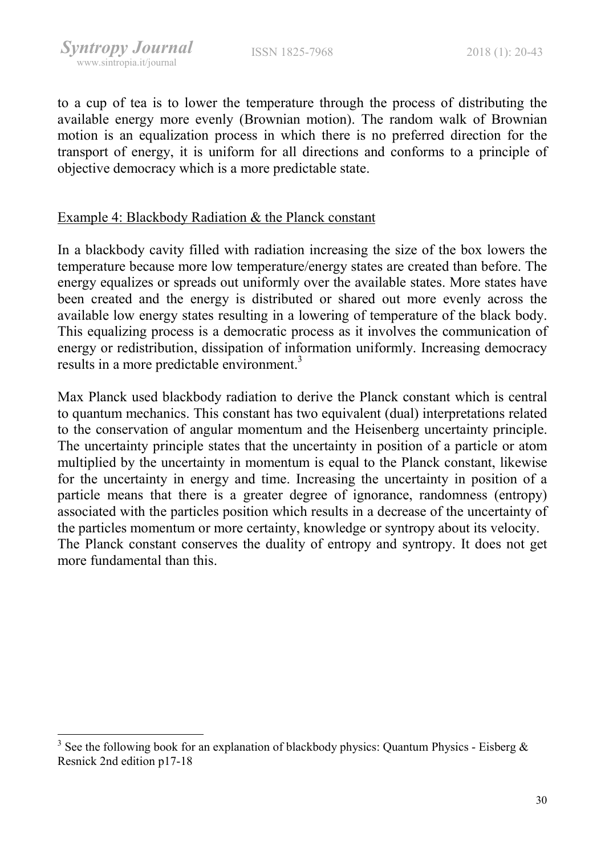-

to a cup of tea is to lower the temperature through the process of distributing the available energy more evenly (Brownian motion). The random walk of Brownian motion is an equalization process in which there is no preferred direction for the transport of energy, it is uniform for all directions and conforms to a principle of objective democracy which is a more predictable state.

# Example 4: Blackbody Radiation & the Planck constant

In a blackbody cavity filled with radiation increasing the size of the box lowers the temperature because more low temperature/energy states are created than before. The energy equalizes or spreads out uniformly over the available states. More states have been created and the energy is distributed or shared out more evenly across the available low energy states resulting in a lowering of temperature of the black body. This equalizing process is a democratic process as it involves the communication of energy or redistribution, dissipation of information uniformly. Increasing democracy results in a more predictable environment.<sup>3</sup>

Max Planck used blackbody radiation to derive the Planck constant which is central to quantum mechanics. This constant has two equivalent (dual) interpretations related to the conservation of angular momentum and the Heisenberg uncertainty principle. The uncertainty principle states that the uncertainty in position of a particle or atom multiplied by the uncertainty in momentum is equal to the Planck constant, likewise for the uncertainty in energy and time. Increasing the uncertainty in position of a particle means that there is a greater degree of ignorance, randomness (entropy) associated with the particles position which results in a decrease of the uncertainty of the particles momentum or more certainty, knowledge or syntropy about its velocity. The Planck constant conserves the duality of entropy and syntropy. It does not get more fundamental than this.

<sup>&</sup>lt;sup>3</sup> See the following book for an explanation of blackbody physics: Quantum Physics - Eisberg  $\&$ Resnick 2nd edition p17-18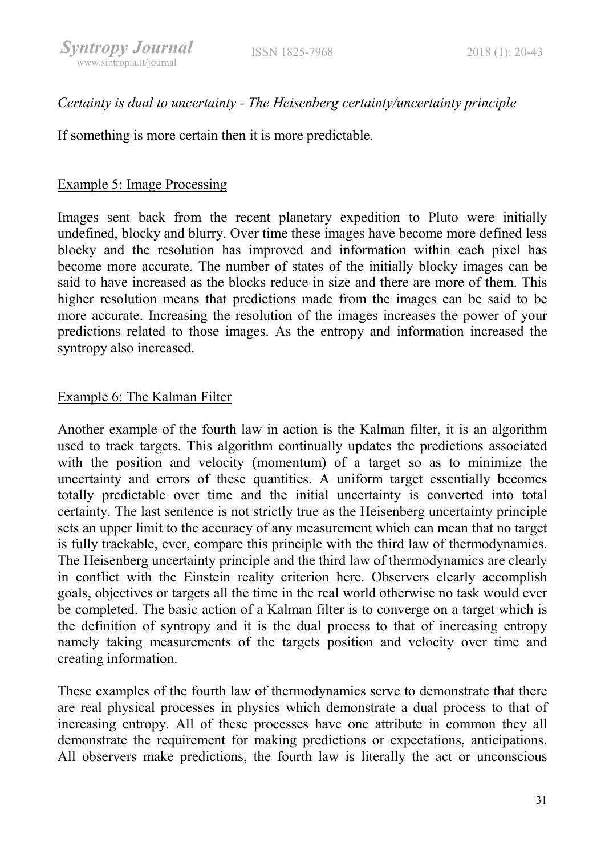# Certainty is dual to uncertainty - The Heisenberg certainty/uncertainty principle

If something is more certain then it is more predictable.

# Example 5: Image Processing

Images sent back from the recent planetary expedition to Pluto were initially undefined, blocky and blurry. Over time these images have become more defined less blocky and the resolution has improved and information within each pixel has become more accurate. The number of states of the initially blocky images can be said to have increased as the blocks reduce in size and there are more of them. This higher resolution means that predictions made from the images can be said to be more accurate. Increasing the resolution of the images increases the power of your predictions related to those images. As the entropy and information increased the syntropy also increased.

# Example 6: The Kalman Filter

Another example of the fourth law in action is the Kalman filter, it is an algorithm used to track targets. This algorithm continually updates the predictions associated with the position and velocity (momentum) of a target so as to minimize the uncertainty and errors of these quantities. A uniform target essentially becomes totally predictable over time and the initial uncertainty is converted into total certainty. The last sentence is not strictly true as the Heisenberg uncertainty principle sets an upper limit to the accuracy of any measurement which can mean that no target is fully trackable, ever, compare this principle with the third law of thermodynamics. The Heisenberg uncertainty principle and the third law of thermodynamics are clearly in conflict with the Einstein reality criterion here. Observers clearly accomplish goals, objectives or targets all the time in the real world otherwise no task would ever be completed. The basic action of a Kalman filter is to converge on a target which is the definition of syntropy and it is the dual process to that of increasing entropy namely taking measurements of the targets position and velocity over time and creating information.

These examples of the fourth law of thermodynamics serve to demonstrate that there are real physical processes in physics which demonstrate a dual process to that of increasing entropy. All of these processes have one attribute in common they all demonstrate the requirement for making predictions or expectations, anticipations. All observers make predictions, the fourth law is literally the act or unconscious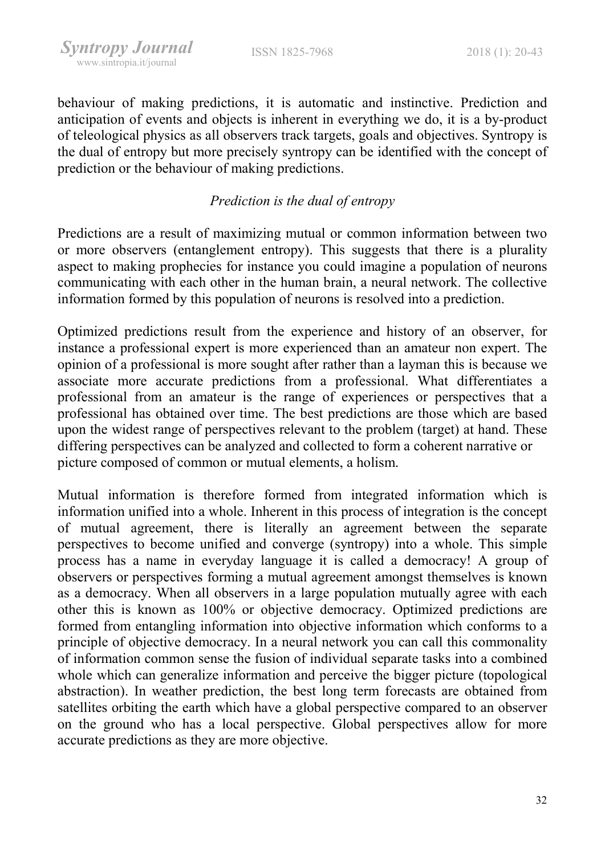behaviour of making predictions, it is automatic and instinctive. Prediction and anticipation of events and objects is inherent in everything we do, it is a by-product of teleological physics as all observers track targets, goals and objectives. Syntropy is the dual of entropy but more precisely syntropy can be identified with the concept of prediction or the behaviour of making predictions.

# Prediction is the dual of entropy

Predictions are a result of maximizing mutual or common information between two or more observers (entanglement entropy). This suggests that there is a plurality aspect to making prophecies for instance you could imagine a population of neurons communicating with each other in the human brain, a neural network. The collective information formed by this population of neurons is resolved into a prediction.

Optimized predictions result from the experience and history of an observer, for instance a professional expert is more experienced than an amateur non expert. The opinion of a professional is more sought after rather than a layman this is because we associate more accurate predictions from a professional. What differentiates a professional from an amateur is the range of experiences or perspectives that a professional has obtained over time. The best predictions are those which are based upon the widest range of perspectives relevant to the problem (target) at hand. These differing perspectives can be analyzed and collected to form a coherent narrative or picture composed of common or mutual elements, a holism.

Mutual information is therefore formed from integrated information which is information unified into a whole. Inherent in this process of integration is the concept of mutual agreement, there is literally an agreement between the separate perspectives to become unified and converge (syntropy) into a whole. This simple process has a name in everyday language it is called a democracy! A group of observers or perspectives forming a mutual agreement amongst themselves is known as a democracy. When all observers in a large population mutually agree with each other this is known as 100% or objective democracy. Optimized predictions are formed from entangling information into objective information which conforms to a principle of objective democracy. In a neural network you can call this commonality of information common sense the fusion of individual separate tasks into a combined whole which can generalize information and perceive the bigger picture (topological abstraction). In weather prediction, the best long term forecasts are obtained from satellites orbiting the earth which have a global perspective compared to an observer on the ground who has a local perspective. Global perspectives allow for more accurate predictions as they are more objective.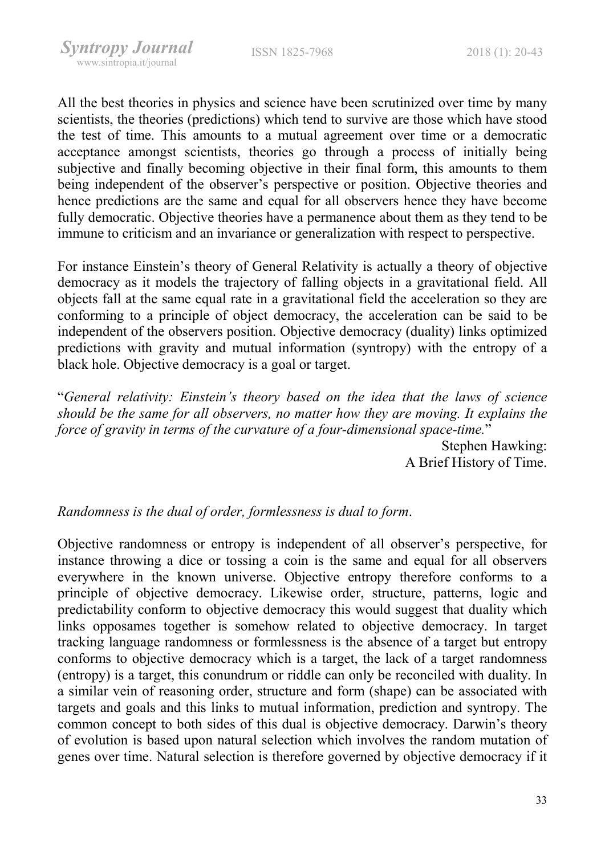All the best theories in physics and science have been scrutinized over time by many scientists, the theories (predictions) which tend to survive are those which have stood the test of time. This amounts to a mutual agreement over time or a democratic acceptance amongst scientists, theories go through a process of initially being subjective and finally becoming objective in their final form, this amounts to them being independent of the observer's perspective or position. Objective theories and hence predictions are the same and equal for all observers hence they have become fully democratic. Objective theories have a permanence about them as they tend to be immune to criticism and an invariance or generalization with respect to perspective.

For instance Einstein's theory of General Relativity is actually a theory of objective democracy as it models the trajectory of falling objects in a gravitational field. All objects fall at the same equal rate in a gravitational field the acceleration so they are conforming to a principle of object democracy, the acceleration can be said to be independent of the observers position. Objective democracy (duality) links optimized predictions with gravity and mutual information (syntropy) with the entropy of a black hole. Objective democracy is a goal or target.

"General relativity: Einstein's theory based on the idea that the laws of science should be the same for all observers, no matter how they are moving. It explains the force of gravity in terms of the curvature of a four-dimensional space-time."

> Stephen Hawking: A Brief History of Time.

#### Randomness is the dual of order, formlessness is dual to form.

Objective randomness or entropy is independent of all observer's perspective, for instance throwing a dice or tossing a coin is the same and equal for all observers everywhere in the known universe. Objective entropy therefore conforms to a principle of objective democracy. Likewise order, structure, patterns, logic and predictability conform to objective democracy this would suggest that duality which links opposames together is somehow related to objective democracy. In target tracking language randomness or formlessness is the absence of a target but entropy conforms to objective democracy which is a target, the lack of a target randomness (entropy) is a target, this conundrum or riddle can only be reconciled with duality. In a similar vein of reasoning order, structure and form (shape) can be associated with targets and goals and this links to mutual information, prediction and syntropy. The common concept to both sides of this dual is objective democracy. Darwin's theory of evolution is based upon natural selection which involves the random mutation of genes over time. Natural selection is therefore governed by objective democracy if it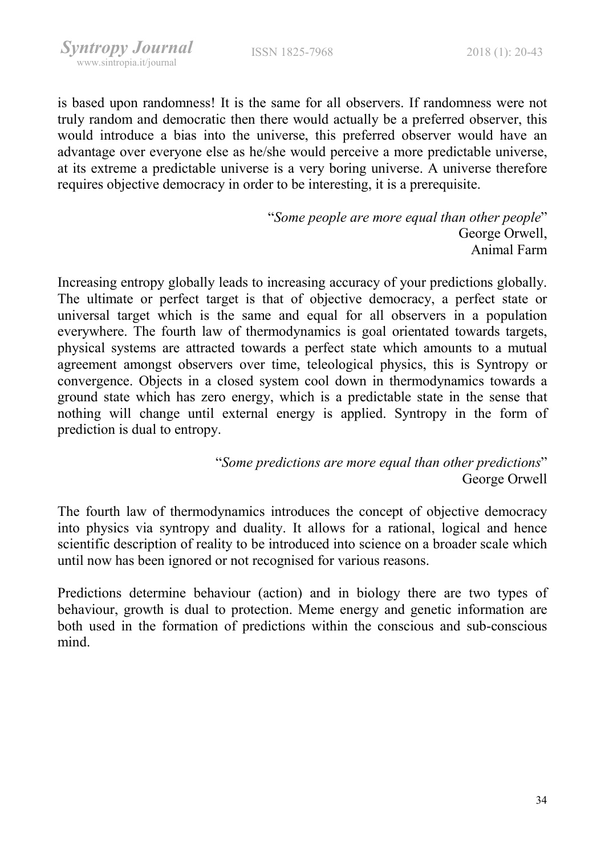is based upon randomness! It is the same for all observers. If randomness were not truly random and democratic then there would actually be a preferred observer, this would introduce a bias into the universe, this preferred observer would have an advantage over everyone else as he/she would perceive a more predictable universe, at its extreme a predictable universe is a very boring universe. A universe therefore requires objective democracy in order to be interesting, it is a prerequisite.

> "Some people are more equal than other people" George Orwell, Animal Farm

Increasing entropy globally leads to increasing accuracy of your predictions globally. The ultimate or perfect target is that of objective democracy, a perfect state or universal target which is the same and equal for all observers in a population everywhere. The fourth law of thermodynamics is goal orientated towards targets, physical systems are attracted towards a perfect state which amounts to a mutual agreement amongst observers over time, teleological physics, this is Syntropy or convergence. Objects in a closed system cool down in thermodynamics towards a ground state which has zero energy, which is a predictable state in the sense that nothing will change until external energy is applied. Syntropy in the form of prediction is dual to entropy.

> "Some predictions are more equal than other predictions" George Orwell

The fourth law of thermodynamics introduces the concept of objective democracy into physics via syntropy and duality. It allows for a rational, logical and hence scientific description of reality to be introduced into science on a broader scale which until now has been ignored or not recognised for various reasons.

Predictions determine behaviour (action) and in biology there are two types of behaviour, growth is dual to protection. Meme energy and genetic information are both used in the formation of predictions within the conscious and sub-conscious mind.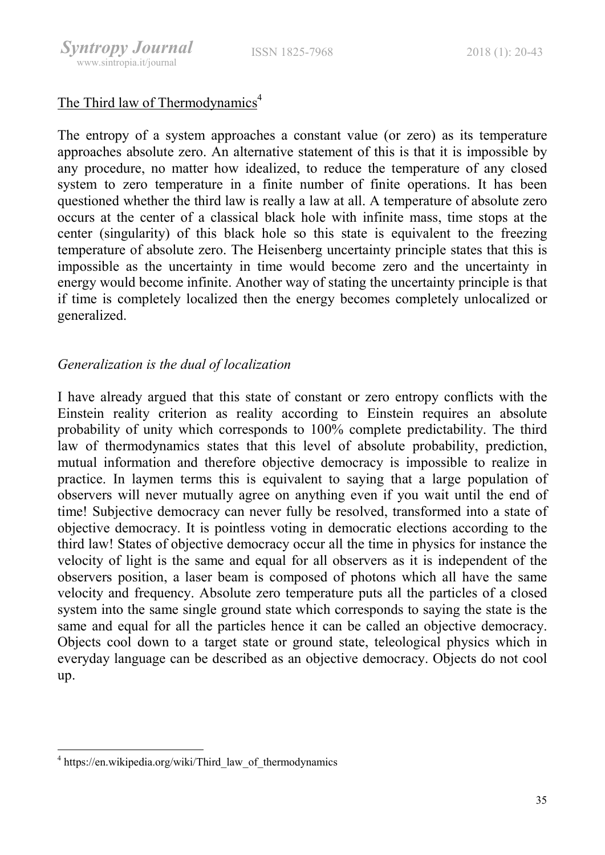ISSN 1825-7968 2018 (1): 20-43

# The Third law of Thermodynamics<sup>4</sup>

The entropy of a system approaches a constant value (or zero) as its temperature approaches absolute zero. An alternative statement of this is that it is impossible by any procedure, no matter how idealized, to reduce the temperature of any closed system to zero temperature in a finite number of finite operations. It has been questioned whether the third law is really a law at all. A temperature of absolute zero occurs at the center of a classical black hole with infinite mass, time stops at the center (singularity) of this black hole so this state is equivalent to the freezing temperature of absolute zero. The Heisenberg uncertainty principle states that this is impossible as the uncertainty in time would become zero and the uncertainty in energy would become infinite. Another way of stating the uncertainty principle is that if time is completely localized then the energy becomes completely unlocalized or generalized.

# Generalization is the dual of localization

I have already argued that this state of constant or zero entropy conflicts with the Einstein reality criterion as reality according to Einstein requires an absolute probability of unity which corresponds to 100% complete predictability. The third law of thermodynamics states that this level of absolute probability, prediction, mutual information and therefore objective democracy is impossible to realize in practice. In laymen terms this is equivalent to saying that a large population of observers will never mutually agree on anything even if you wait until the end of time! Subjective democracy can never fully be resolved, transformed into a state of objective democracy. It is pointless voting in democratic elections according to the third law! States of objective democracy occur all the time in physics for instance the velocity of light is the same and equal for all observers as it is independent of the observers position, a laser beam is composed of photons which all have the same velocity and frequency. Absolute zero temperature puts all the particles of a closed system into the same single ground state which corresponds to saying the state is the same and equal for all the particles hence it can be called an objective democracy. Objects cool down to a target state or ground state, teleological physics which in everyday language can be described as an objective democracy. Objects do not cool up.

-

<sup>&</sup>lt;sup>4</sup> https://en.wikipedia.org/wiki/Third\_law\_of\_thermodynamics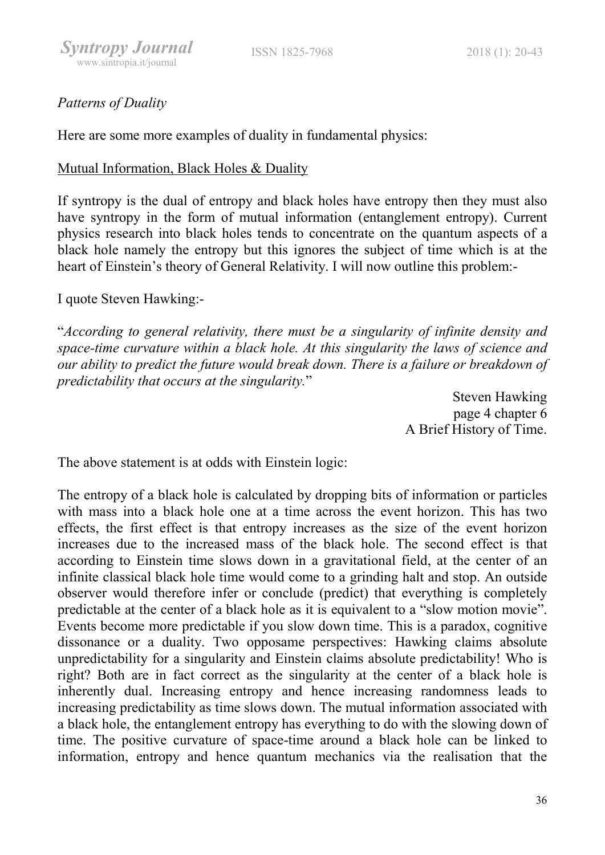# Patterns of Duality

Here are some more examples of duality in fundamental physics:

#### Mutual Information, Black Holes & Duality

If syntropy is the dual of entropy and black holes have entropy then they must also have syntropy in the form of mutual information (entanglement entropy). Current physics research into black holes tends to concentrate on the quantum aspects of a black hole namely the entropy but this ignores the subject of time which is at the heart of Einstein's theory of General Relativity. I will now outline this problem:-

# I quote Steven Hawking:-

"According to general relativity, there must be a singularity of infinite density and space-time curvature within a black hole. At this singularity the laws of science and our ability to predict the future would break down. There is a failure or breakdown of predictability that occurs at the singularity."

> Steven Hawking page 4 chapter 6 A Brief History of Time.

The above statement is at odds with Einstein logic:

The entropy of a black hole is calculated by dropping bits of information or particles with mass into a black hole one at a time across the event horizon. This has two effects, the first effect is that entropy increases as the size of the event horizon increases due to the increased mass of the black hole. The second effect is that according to Einstein time slows down in a gravitational field, at the center of an infinite classical black hole time would come to a grinding halt and stop. An outside observer would therefore infer or conclude (predict) that everything is completely predictable at the center of a black hole as it is equivalent to a "slow motion movie". Events become more predictable if you slow down time. This is a paradox, cognitive dissonance or a duality. Two opposame perspectives: Hawking claims absolute unpredictability for a singularity and Einstein claims absolute predictability! Who is right? Both are in fact correct as the singularity at the center of a black hole is inherently dual. Increasing entropy and hence increasing randomness leads to increasing predictability as time slows down. The mutual information associated with a black hole, the entanglement entropy has everything to do with the slowing down of time. The positive curvature of space-time around a black hole can be linked to information, entropy and hence quantum mechanics via the realisation that the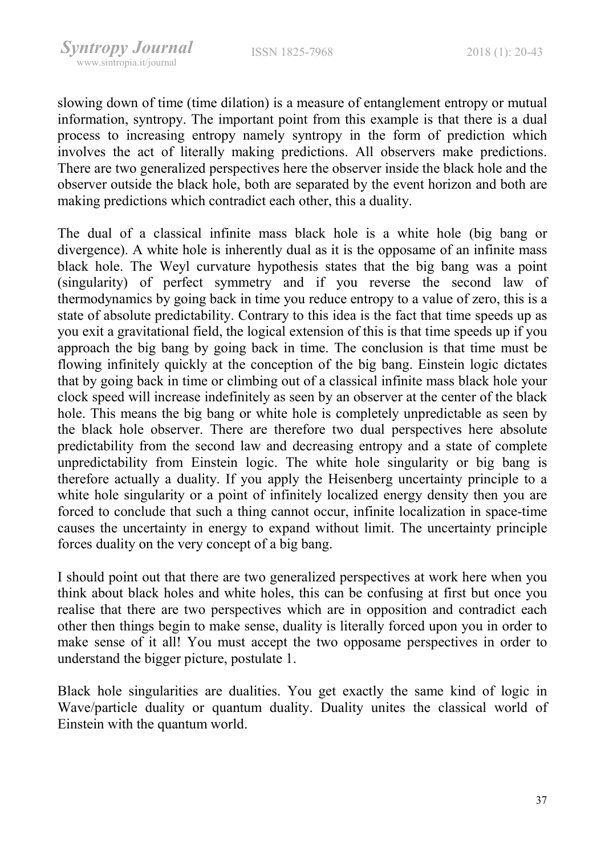slowing down of time (time dilation) is a measure of entanglement entropy or mutual information, syntropy. The important point from this example is that there is a dual process to increasing entropy namely syntropy in the form of prediction which involves the act of literally making predictions. All observers make predictions. There are two generalized perspectives here the observer inside the black hole and the observer outside the black hole, both are separated by the event horizon and both are making predictions which contradict each other, this a duality.

The dual of a classical infinite mass black hole is a white hole (big bang or divergence). A white hole is inherently dual as it is the opposame of an infinite mass black hole. The Weyl curvature hypothesis states that the big bang was a point (singularity) of perfect symmetry and if you reverse the second law of thermodynamics by going back in time you reduce entropy to a value of zero, this is a state of absolute predictability. Contrary to this idea is the fact that time speeds up as you exit a gravitational field, the logical extension of this is that time speeds up if you approach the big bang by going back in time. The conclusion is that time must be flowing infinitely quickly at the conception of the big bang. Einstein logic dictates that by going back in time or climbing out of a classical infinite mass black hole your clock speed will increase indefinitely as seen by an observer at the center of the black hole. This means the big bang or white hole is completely unpredictable as seen by the black hole observer. There are therefore two dual perspectives here absolute predictability from the second law and decreasing entropy and a state of complete unpredictability from Einstein logic. The white hole singularity or big bang is therefore actually a duality. If you apply the Heisenberg uncertainty principle to a white hole singularity or a point of infinitely localized energy density then you are forced to conclude that such a thing cannot occur, infinite localization in space-time causes the uncertainty in energy to expand without limit. The uncertainty principle forces duality on the very concept of a big bang.

I should point out that there are two generalized perspectives at work here when you think about black holes and white holes, this can be confusing at first but once you realise that there are two perspectives which are in opposition and contradict each other then things begin to make sense, duality is literally forced upon you in order to make sense of it all! You must accept the two opposame perspectives in order to understand the bigger picture, postulate 1.

Black hole singularities are dualities. You get exactly the same kind of logic in Wave/particle duality or quantum duality. Duality unites the classical world of Einstein with the quantum world.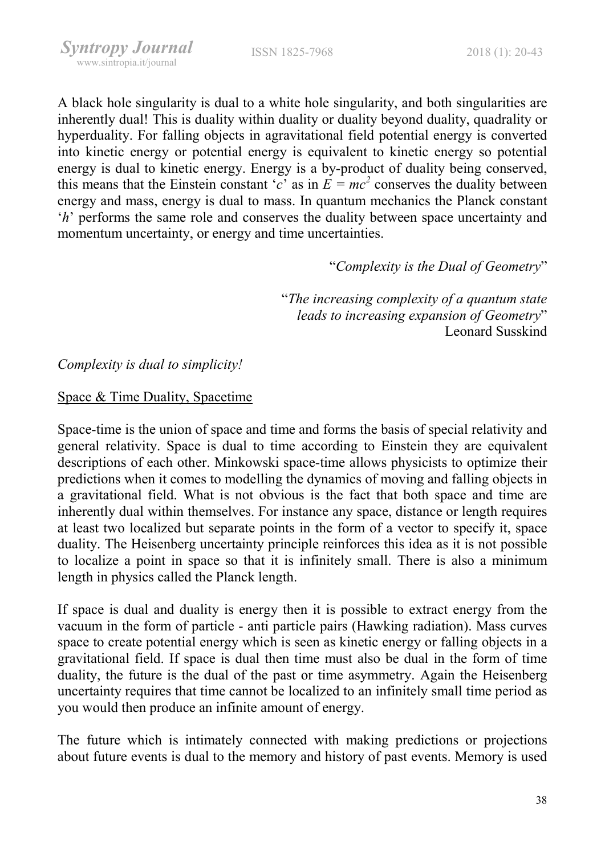A black hole singularity is dual to a white hole singularity, and both singularities are inherently dual! This is duality within duality or duality beyond duality, quadrality or hyperduality. For falling objects in agravitational field potential energy is converted into kinetic energy or potential energy is equivalent to kinetic energy so potential energy is dual to kinetic energy. Energy is a by-product of duality being conserved, this means that the Einstein constant 'c' as in  $E = mc^2$  conserves the duality between energy and mass, energy is dual to mass. In quantum mechanics the Planck constant 'h' performs the same role and conserves the duality between space uncertainty and momentum uncertainty, or energy and time uncertainties.

"Complexity is the Dual of Geometry"

"The increasing complexity of a quantum state leads to increasing expansion of Geometry" Leonard Susskind

# Complexity is dual to simplicity!

# Space & Time Duality, Spacetime

Space-time is the union of space and time and forms the basis of special relativity and general relativity. Space is dual to time according to Einstein they are equivalent descriptions of each other. Minkowski space-time allows physicists to optimize their predictions when it comes to modelling the dynamics of moving and falling objects in a gravitational field. What is not obvious is the fact that both space and time are inherently dual within themselves. For instance any space, distance or length requires at least two localized but separate points in the form of a vector to specify it, space duality. The Heisenberg uncertainty principle reinforces this idea as it is not possible to localize a point in space so that it is infinitely small. There is also a minimum length in physics called the Planck length.

If space is dual and duality is energy then it is possible to extract energy from the vacuum in the form of particle - anti particle pairs (Hawking radiation). Mass curves space to create potential energy which is seen as kinetic energy or falling objects in a gravitational field. If space is dual then time must also be dual in the form of time duality, the future is the dual of the past or time asymmetry. Again the Heisenberg uncertainty requires that time cannot be localized to an infinitely small time period as you would then produce an infinite amount of energy.

The future which is intimately connected with making predictions or projections about future events is dual to the memory and history of past events. Memory is used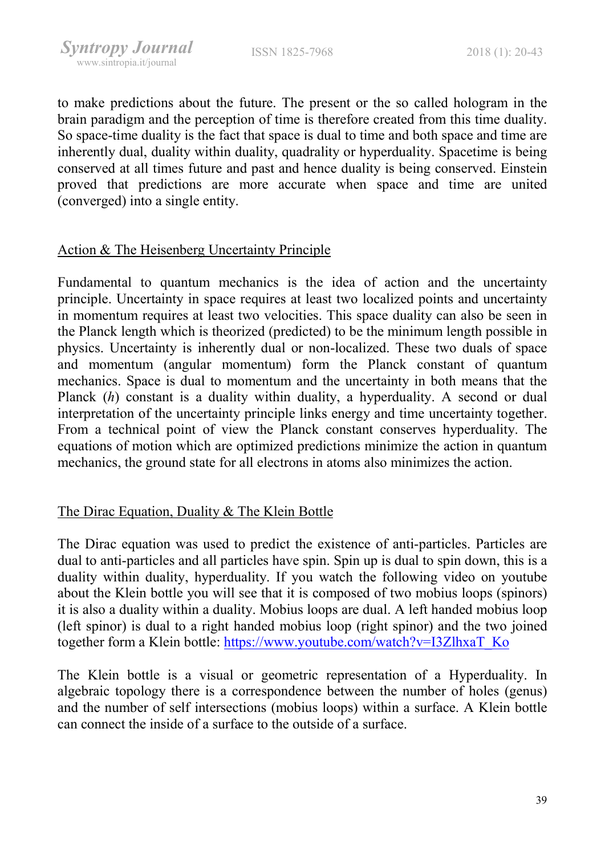to make predictions about the future. The present or the so called hologram in the brain paradigm and the perception of time is therefore created from this time duality. So space-time duality is the fact that space is dual to time and both space and time are inherently dual, duality within duality, quadrality or hyperduality. Spacetime is being conserved at all times future and past and hence duality is being conserved. Einstein proved that predictions are more accurate when space and time are united (converged) into a single entity.

# Action & The Heisenberg Uncertainty Principle

Fundamental to quantum mechanics is the idea of action and the uncertainty principle. Uncertainty in space requires at least two localized points and uncertainty in momentum requires at least two velocities. This space duality can also be seen in the Planck length which is theorized (predicted) to be the minimum length possible in physics. Uncertainty is inherently dual or non-localized. These two duals of space and momentum (angular momentum) form the Planck constant of quantum mechanics. Space is dual to momentum and the uncertainty in both means that the Planck (h) constant is a duality within duality, a hyperduality. A second or dual interpretation of the uncertainty principle links energy and time uncertainty together. From a technical point of view the Planck constant conserves hyperduality. The equations of motion which are optimized predictions minimize the action in quantum mechanics, the ground state for all electrons in atoms also minimizes the action.

# The Dirac Equation, Duality & The Klein Bottle

The Dirac equation was used to predict the existence of anti-particles. Particles are dual to anti-particles and all particles have spin. Spin up is dual to spin down, this is a duality within duality, hyperduality. If you watch the following video on youtube about the Klein bottle you will see that it is composed of two mobius loops (spinors) it is also a duality within a duality. Mobius loops are dual. A left handed mobius loop (left spinor) is dual to a right handed mobius loop (right spinor) and the two joined together form a Klein bottle: https://www.youtube.com/watch?v=I3ZlhxaT\_Ko

The Klein bottle is a visual or geometric representation of a Hyperduality. In algebraic topology there is a correspondence between the number of holes (genus) and the number of self intersections (mobius loops) within a surface. A Klein bottle can connect the inside of a surface to the outside of a surface.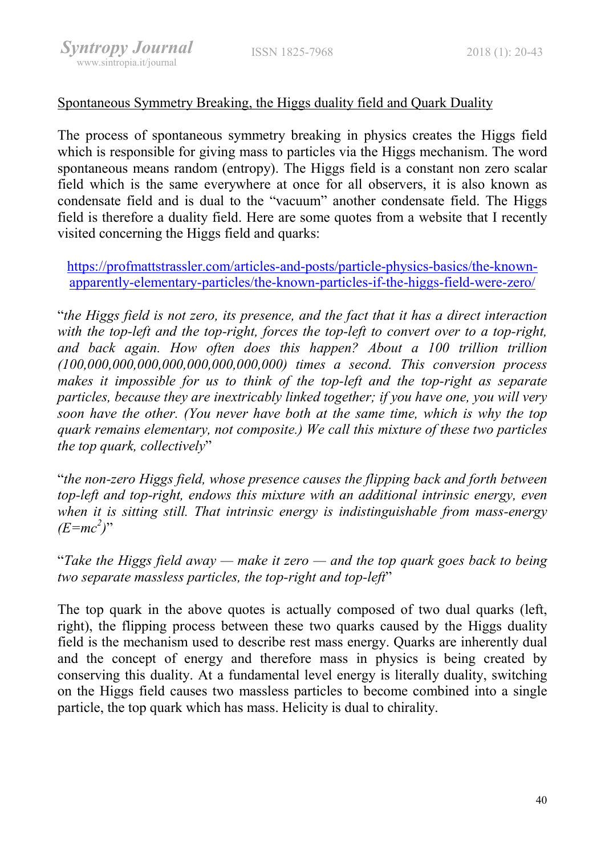# Spontaneous Symmetry Breaking, the Higgs duality field and Quark Duality

The process of spontaneous symmetry breaking in physics creates the Higgs field which is responsible for giving mass to particles via the Higgs mechanism. The word spontaneous means random (entropy). The Higgs field is a constant non zero scalar field which is the same everywhere at once for all observers, it is also known as condensate field and is dual to the "vacuum" another condensate field. The Higgs field is therefore a duality field. Here are some quotes from a website that I recently visited concerning the Higgs field and quarks:

https://profmattstrassler.com/articles-and-posts/particle-physics-basics/the-knownapparently-elementary-particles/the-known-particles-if-the-higgs-field-were-zero/

"the Higgs field is not zero, its presence, and the fact that it has a direct interaction with the top-left and the top-right, forces the top-left to convert over to a top-right, and back again. How often does this happen? About a 100 trillion trillion (100,000,000,000,000,000,000,000,000) times a second. This conversion process makes it impossible for us to think of the top-left and the top-right as separate particles, because they are inextricably linked together; if you have one, you will very soon have the other. (You never have both at the same time, which is why the top quark remains elementary, not composite.) We call this mixture of these two particles the top quark, collectively"

"the non-zero Higgs field, whose presence causes the flipping back and forth between top-left and top-right, endows this mixture with an additional intrinsic energy, even when it is sitting still. That intrinsic energy is indistinguishable from mass-energy  $(E=mc^2)$ "

"Take the Higgs field away — make it zero — and the top quark goes back to being two separate massless particles, the top-right and top-left"

The top quark in the above quotes is actually composed of two dual quarks (left, right), the flipping process between these two quarks caused by the Higgs duality field is the mechanism used to describe rest mass energy. Quarks are inherently dual and the concept of energy and therefore mass in physics is being created by conserving this duality. At a fundamental level energy is literally duality, switching on the Higgs field causes two massless particles to become combined into a single particle, the top quark which has mass. Helicity is dual to chirality.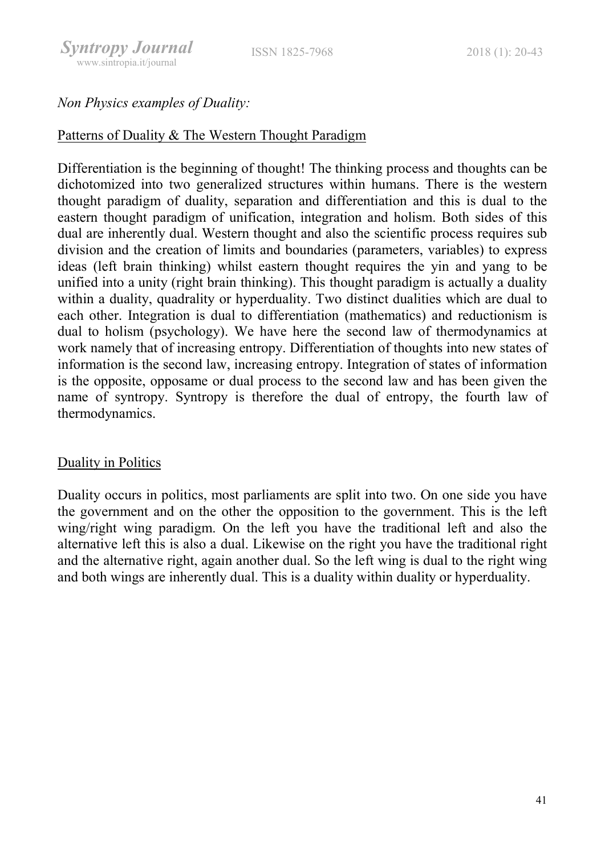# Non Physics examples of Duality:

#### Patterns of Duality & The Western Thought Paradigm

Differentiation is the beginning of thought! The thinking process and thoughts can be dichotomized into two generalized structures within humans. There is the western thought paradigm of duality, separation and differentiation and this is dual to the eastern thought paradigm of unification, integration and holism. Both sides of this dual are inherently dual. Western thought and also the scientific process requires sub division and the creation of limits and boundaries (parameters, variables) to express ideas (left brain thinking) whilst eastern thought requires the yin and yang to be unified into a unity (right brain thinking). This thought paradigm is actually a duality within a duality, quadrality or hyperduality. Two distinct dualities which are dual to each other. Integration is dual to differentiation (mathematics) and reductionism is dual to holism (psychology). We have here the second law of thermodynamics at work namely that of increasing entropy. Differentiation of thoughts into new states of information is the second law, increasing entropy. Integration of states of information is the opposite, opposame or dual process to the second law and has been given the name of syntropy. Syntropy is therefore the dual of entropy, the fourth law of thermodynamics.

# Duality in Politics

Duality occurs in politics, most parliaments are split into two. On one side you have the government and on the other the opposition to the government. This is the left wing/right wing paradigm. On the left you have the traditional left and also the alternative left this is also a dual. Likewise on the right you have the traditional right and the alternative right, again another dual. So the left wing is dual to the right wing and both wings are inherently dual. This is a duality within duality or hyperduality.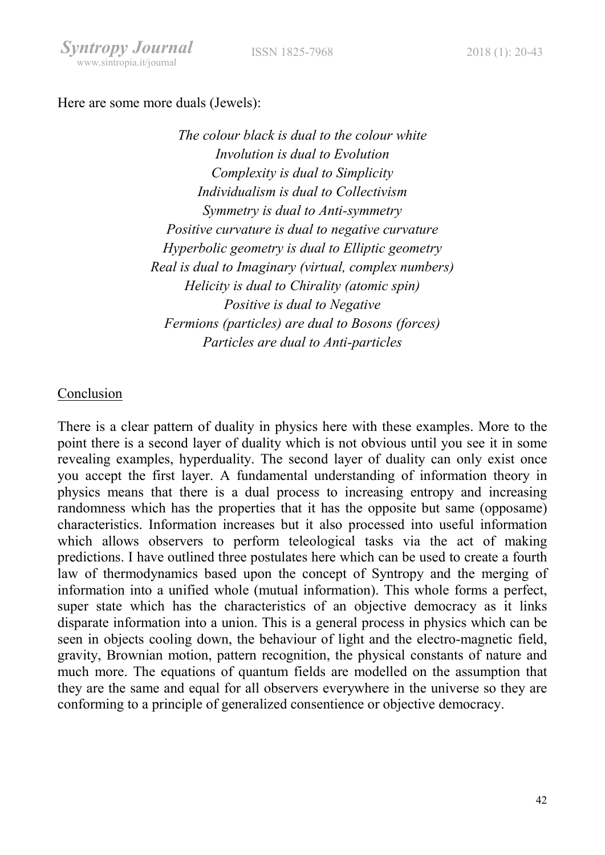#### ISSN 1825-7968 2018 (1): 20-43

#### Here are some more duals (Jewels):

The colour black is dual to the colour white Involution is dual to Evolution Complexity is dual to Simplicity Individualism is dual to Collectivism Symmetry is dual to Anti-symmetry Positive curvature is dual to negative curvature Hyperbolic geometry is dual to Elliptic geometry Real is dual to Imaginary (virtual, complex numbers) Helicity is dual to Chirality (atomic spin) Positive is dual to Negative Fermions (particles) are dual to Bosons (forces) Particles are dual to Anti-particles

#### Conclusion

There is a clear pattern of duality in physics here with these examples. More to the point there is a second layer of duality which is not obvious until you see it in some revealing examples, hyperduality. The second layer of duality can only exist once you accept the first layer. A fundamental understanding of information theory in physics means that there is a dual process to increasing entropy and increasing randomness which has the properties that it has the opposite but same (opposame) characteristics. Information increases but it also processed into useful information which allows observers to perform teleological tasks via the act of making predictions. I have outlined three postulates here which can be used to create a fourth law of thermodynamics based upon the concept of Syntropy and the merging of information into a unified whole (mutual information). This whole forms a perfect, super state which has the characteristics of an objective democracy as it links disparate information into a union. This is a general process in physics which can be seen in objects cooling down, the behaviour of light and the electro-magnetic field, gravity, Brownian motion, pattern recognition, the physical constants of nature and much more. The equations of quantum fields are modelled on the assumption that they are the same and equal for all observers everywhere in the universe so they are conforming to a principle of generalized consentience or objective democracy.